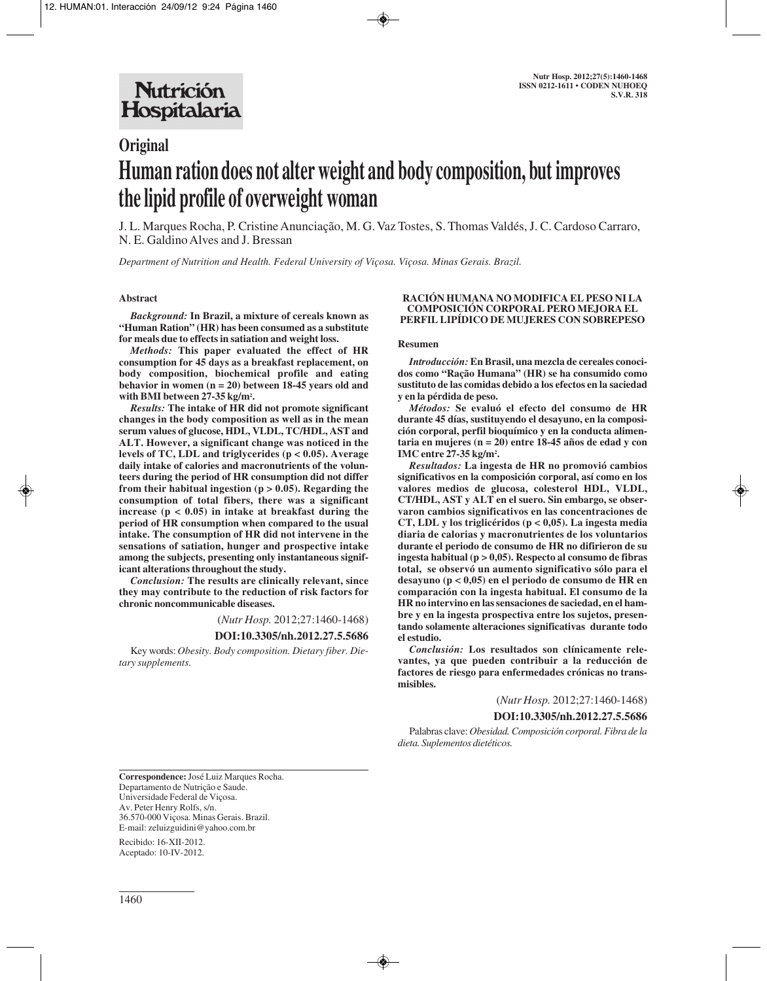# **Original Human ration does not alter weight and body composition, but improves the lipid profile of overweight woman**

J. L. Marques Rocha, P. Cristine Anunciação, M. G. Vaz Tostes, S. Thomas Valdés, J. C. Cardoso Carraro, N. E. Galdino Alves and J. Bressan

*Department of Nutrition and Health. Federal University of Viçosa. Viçosa. Minas Gerais. Brazil.*

## **Abstract**

*Background:* **In Brazil, a mixture of cereals known as "Human Ration" (HR) has been consumed as a substitute for meals due to effects in satiation and weight loss.**

*Methods:* **This paper evaluated the effect of HR consumption for 45 days as a breakfast replacement, on body composition, biochemical profile and eating behavior in women (n = 20) between 18-45 years old and with BMI between 27-35 kg/m2 .** 

*Results:* **The intake of HR did not promote significant changes in the body composition as well as in the mean serum values of glucose, HDL, VLDL, TC/HDL, AST and ALT. However, a significant change was noticed in the levels of TC, LDL and triglycerides (p < 0.05). Average daily intake of calories and macronutrients of the volunteers during the period of HR consumption did not differ from their habitual ingestion (p > 0.05). Regarding the consumption of total fibers, there was a significant increase (p < 0.05) in intake at breakfast during the period of HR consumption when compared to the usual intake. The consumption of HR did not intervene in the sensations of satiation, hunger and prospective intake among the subjects, presenting only instantaneous significant alterations throughout the study.** 

*Conclusion:* **The results are clinically relevant, since they may contribute to the reduction of risk factors for chronic noncommunicable diseases.**

(*Nutr Hosp.* 2012;27:1460-1468)

#### **DOI:10.3305/nh.2012.27.5.5686**

Key words: *Obesity. Body composition. Dietary fiber. Dietary supplements.*

#### **RACIÓN HUMANA NO MODIFICA EL PESO NI LA COMPOSICIÓN CORPORAL PERO MEJORA EL PERFIL LIPÍDICO DE MUJERES CON SOBREPESO**

#### **Resumen**

*Introducción:* **En Brasil, una mezcla de cereales conocidos como "Ração Humana" (HR) se ha consumido como sustituto de las comidas debido a los efectos en la saciedad y en la pérdida de peso.**

*Métodos:* **Se evaluó el efecto del consumo de HR durante 45 días, sustituyendo el desayuno, en la composición corporal, perfil bioquímico y en la conducta alimentaria en mujeres (n = 20) entre 18-45 años de edad y con IMC entre 27-35 kg/m2 .**

*Resultados:* **La ingesta de HR no promovió cambios significativos en la composición corporal, así como en los valores medios de glucosa, colesterol HDL, VLDL, CT/HDL, AST y ALT en el suero. Sin embargo, se observaron cambios significativos en las concentraciones de CT, LDL y los triglicéridos (p < 0,05). La ingesta media diaria de calorias y macronutrientes de los voluntarios durante el periodo de consumo de HR no difirieron de su ingesta habitual (p > 0,05). Respecto al consumo de fibras total, se observó un aumento significativo sólo para el desayuno (p < 0,05) en el periodo de consumo de HR en comparación con la ingesta habitual. El consumo de la HR no intervino en las sensaciones de saciedad, en el hambre y en la ingesta prospectiva entre los sujetos, presentando solamente alteraciones significativas durante todo el estudio.**

*Conclusión:* **Los resultados son clínicamente relevantes, ya que pueden contribuir a la reducción de factores de riesgo para enfermedades crónicas no transmisibles.**

(*Nutr Hosp.* 2012;27:1460-1468)

#### **DOI:10.3305/nh.2012.27.5.5686**

Palabras clave: *Obesidad. Composición corporal. Fibra de la dieta. Suplementos dietéticos.*

**Correspondence:** José Luiz Marques Rocha. Departamento de Nutrição e Saude. Universidade Federal de Viçosa. Av. Peter Henry Rolfs, s/n. 36.570-000 Viçosa. Minas Gerais. Brazil. E-mail: zeluizguidini@yahoo.com.br

Recibido: 16-XII-2012. Aceptado: 10-IV-2012.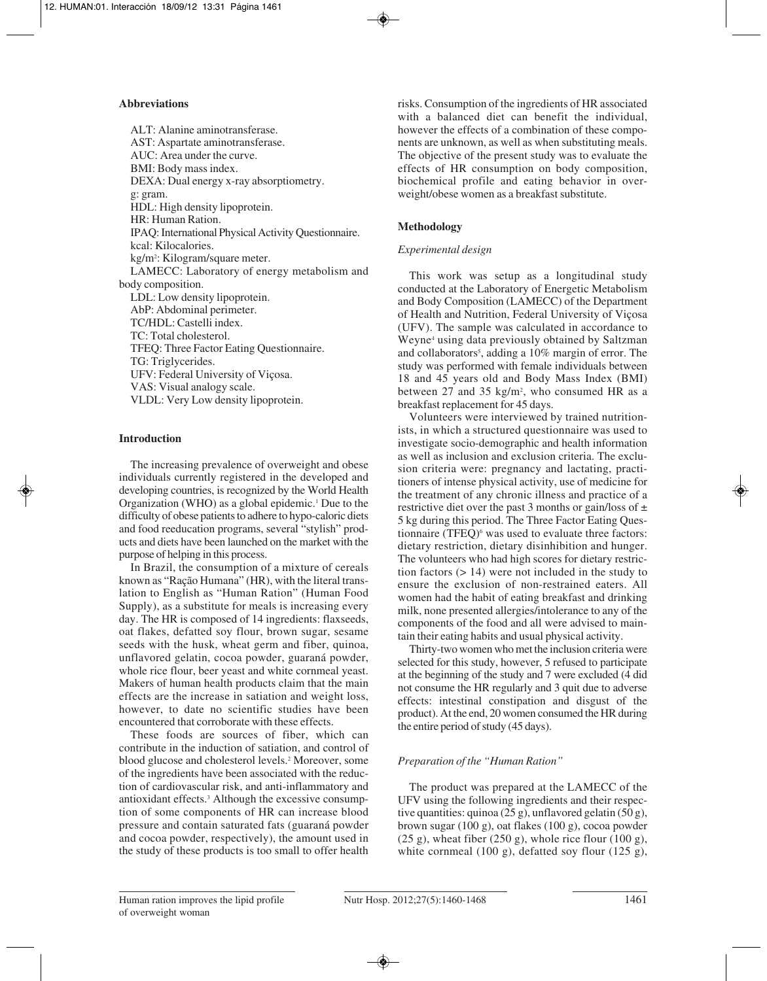## **Abbreviations**

ALT: Alanine aminotransferase. AST: Aspartate aminotransferase. AUC: Area under the curve. BMI: Body mass index. DEXA: Dual energy x-ray absorptiometry. g: gram. HDL: High density lipoprotein. HR: Human Ration. IPAQ: International Physical Activity Questionnaire. kcal: Kilocalories. kg/m2 : Kilogram/square meter. LAMECC: Laboratory of energy metabolism and body composition. LDL: Low density lipoprotein. AbP: Abdominal perimeter. TC/HDL: Castelli index. TC: Total cholesterol. TFEQ: Three Factor Eating Questionnaire. TG: Triglycerides. UFV: Federal University of Viçosa. VAS: Visual analogy scale. VLDL: Very Low density lipoprotein.

## **Introduction**

The increasing prevalence of overweight and obese individuals currently registered in the developed and developing countries, is recognized by the World Health Organization (WHO) as a global epidemic.<sup>1</sup> Due to the difficulty of obese patients to adhere to hypo-caloric diets and food reeducation programs, several "stylish" products and diets have been launched on the market with the purpose of helping in this process.

In Brazil, the consumption of a mixture of cereals known as "Ração Humana" (HR), with the literal translation to English as "Human Ration" (Human Food Supply), as a substitute for meals is increasing every day. The HR is composed of 14 ingredients: flaxseeds, oat flakes, defatted soy flour, brown sugar, sesame seeds with the husk, wheat germ and fiber, quinoa, unflavored gelatin, cocoa powder, guaraná powder, whole rice flour, beer yeast and white cornmeal yeast. Makers of human health products claim that the main effects are the increase in satiation and weight loss, however, to date no scientific studies have been encountered that corroborate with these effects.

These foods are sources of fiber, which can contribute in the induction of satiation, and control of blood glucose and cholesterol levels.2 Moreover, some of the ingredients have been associated with the reduction of cardiovascular risk, and anti-inflammatory and antioxidant effects.3 Although the excessive consumption of some components of HR can increase blood pressure and contain saturated fats (guaraná powder and cocoa powder, respectively), the amount used in the study of these products is too small to offer health

risks. Consumption of the ingredients of HR associated with a balanced diet can benefit the individual, however the effects of a combination of these components are unknown, as well as when substituting meals. The objective of the present study was to evaluate the effects of HR consumption on body composition, biochemical profile and eating behavior in overweight/obese women as a breakfast substitute.

# **Methodology**

## *Experimental design*

This work was setup as a longitudinal study conducted at the Laboratory of Energetic Metabolism and Body Composition (LAMECC) of the Department of Health and Nutrition, Federal University of Viçosa (UFV). The sample was calculated in accordance to Weyne4 using data previously obtained by Saltzman and collaborators<sup>5</sup>, adding a 10% margin of error. The study was performed with female individuals between 18 and 45 years old and Body Mass Index (BMI) between 27 and 35 kg/m2 , who consumed HR as a breakfast replacement for 45 days.

Volunteers were interviewed by trained nutritionists, in which a structured questionnaire was used to investigate socio-demographic and health information as well as inclusion and exclusion criteria. The exclusion criteria were: pregnancy and lactating, practitioners of intense physical activity, use of medicine for the treatment of any chronic illness and practice of a restrictive diet over the past 3 months or gain/loss of  $\pm$ 5 kg during this period. The Three Factor Eating Questionnaire (TFEQ)<sup>6</sup> was used to evaluate three factors: dietary restriction, dietary disinhibition and hunger. The volunteers who had high scores for dietary restriction factors (> 14) were not included in the study to ensure the exclusion of non-restrained eaters. All women had the habit of eating breakfast and drinking milk, none presented allergies/intolerance to any of the components of the food and all were advised to maintain their eating habits and usual physical activity.

Thirty-two women who met the inclusion criteria were selected for this study, however, 5 refused to participate at the beginning of the study and 7 were excluded (4 did not consume the HR regularly and 3 quit due to adverse effects: intestinal constipation and disgust of the product). At the end, 20 women consumed the HR during the entire period of study (45 days).

# *Preparation of the "Human Ration"*

The product was prepared at the LAMECC of the UFV using the following ingredients and their respective quantities: quinoa (25 g), unflavored gelatin (50 g), brown sugar (100 g), oat flakes (100 g), cocoa powder  $(25 \text{ g})$ , wheat fiber  $(250 \text{ g})$ , whole rice flour  $(100 \text{ g})$ , white cornmeal (100 g), defatted soy flour (125 g),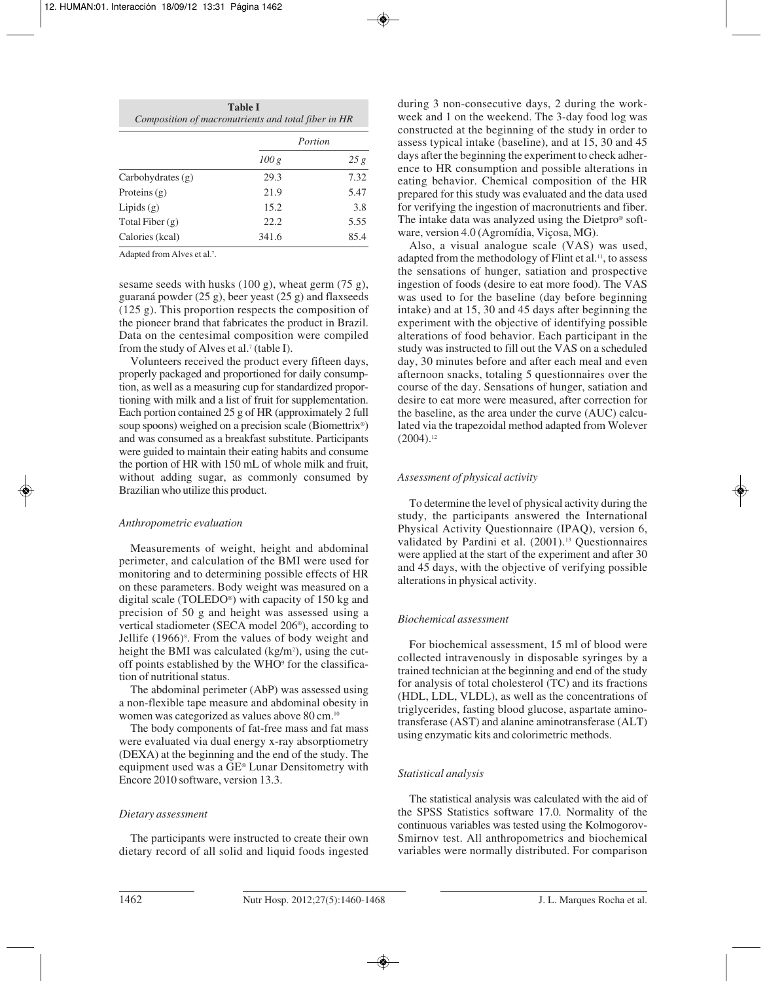| <b>Table I</b>                                      |  |
|-----------------------------------------------------|--|
| Composition of macronutrients and total fiber in HR |  |
|                                                     |  |

|                     | Portion |      |  |
|---------------------|---------|------|--|
|                     | 100 g   | 25g  |  |
| Carbohydrates $(g)$ | 29.3    | 7.32 |  |
| Proteins $(g)$      | 21.9    | 5.47 |  |
| Lipids $(g)$        | 15.2    | 3.8  |  |
| Total Fiber $(g)$   | 22.2    | 5.55 |  |
| Calories (kcal)     | 341.6   | 85.4 |  |

Adapted from Alves et al.<sup>7</sup>.

sesame seeds with husks  $(100 \text{ g})$ , wheat germ  $(75 \text{ g})$ , guaraná powder (25 g), beer yeast (25 g) and flaxseeds (125 g). This proportion respects the composition of the pioneer brand that fabricates the product in Brazil. Data on the centesimal composition were compiled from the study of Alves et al.<sup>7</sup> (table I).

Volunteers received the product every fifteen days, properly packaged and proportioned for daily consumption, as well as a measuring cup for standardized proportioning with milk and a list of fruit for supplementation. Each portion contained 25 g of HR (approximately 2 full soup spoons) weighed on a precision scale (Biomettrix®) and was consumed as a breakfast substitute. Participants were guided to maintain their eating habits and consume the portion of HR with 150 mL of whole milk and fruit, without adding sugar, as commonly consumed by Brazilian who utilize this product.

## *Anthropometric evaluation*

Measurements of weight, height and abdominal perimeter, and calculation of the BMI were used for monitoring and to determining possible effects of HR on these parameters. Body weight was measured on a digital scale (TOLEDO®) with capacity of 150 kg and precision of 50 g and height was assessed using a vertical stadiometer (SECA model 206®), according to Jellife (1966)<sup>8</sup>. From the values of body weight and height the BMI was calculated  $(kg/m^2)$ , using the cutoff points established by the WHO<sup>9</sup> for the classification of nutritional status.

The abdominal perimeter (AbP) was assessed using a non-flexible tape measure and abdominal obesity in women was categorized as values above 80 cm.10

The body components of fat-free mass and fat mass were evaluated via dual energy x-ray absorptiometry (DEXA) at the beginning and the end of the study. The equipment used was a GE® Lunar Densitometry with Encore 2010 software, version 13.3.

## *Dietary assessment*

The participants were instructed to create their own dietary record of all solid and liquid foods ingested during 3 non-consecutive days, 2 during the workweek and 1 on the weekend. The 3-day food log was constructed at the beginning of the study in order to assess typical intake (baseline), and at 15, 30 and 45 days after the beginning the experiment to check adherence to HR consumption and possible alterations in eating behavior. Chemical composition of the HR prepared for this study was evaluated and the data used for verifying the ingestion of macronutrients and fiber. The intake data was analyzed using the Dietpro® software, version 4.0 (Agromídia, Viçosa, MG).

Also, a visual analogue scale (VAS) was used, adapted from the methodology of Flint et al.<sup>11</sup>, to assess the sensations of hunger, satiation and prospective ingestion of foods (desire to eat more food). The VAS was used to for the baseline (day before beginning intake) and at 15, 30 and 45 days after beginning the experiment with the objective of identifying possible alterations of food behavior. Each participant in the study was instructed to fill out the VAS on a scheduled day, 30 minutes before and after each meal and even afternoon snacks, totaling 5 questionnaires over the course of the day. Sensations of hunger, satiation and desire to eat more were measured, after correction for the baseline, as the area under the curve (AUC) calculated via the trapezoidal method adapted from Wolever  $(2004).$ <sup>12</sup>

## *Assessment of physical activity*

To determine the level of physical activity during the study, the participants answered the International Physical Activity Questionnaire (IPAQ), version 6, validated by Pardini et al. (2001).<sup>13</sup> Questionnaires were applied at the start of the experiment and after 30 and 45 days, with the objective of verifying possible alterations in physical activity.

## *Biochemical assessment*

For biochemical assessment, 15 ml of blood were collected intravenously in disposable syringes by a trained technician at the beginning and end of the study for analysis of total cholesterol (TC) and its fractions (HDL, LDL, VLDL), as well as the concentrations of triglycerides, fasting blood glucose, aspartate aminotransferase (AST) and alanine aminotransferase (ALT) using enzymatic kits and colorimetric methods.

## *Statistical analysis*

The statistical analysis was calculated with the aid of the SPSS Statistics software 17.0*.* Normality of the continuous variables was tested using the Kolmogorov-Smirnov test. All anthropometrics and biochemical variables were normally distributed. For comparison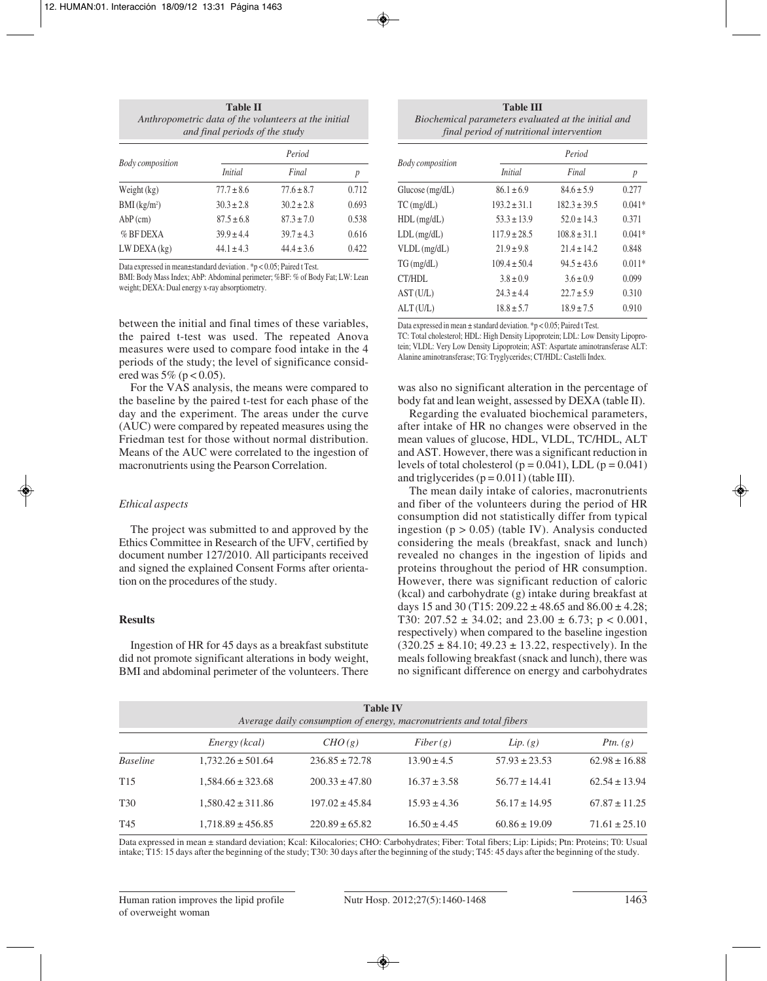| <b>Table II</b>                                      |
|------------------------------------------------------|
| Anthropometric data of the volunteers at the initial |
| and final periods of the study                       |
|                                                      |

|                            | Period         |                |       |  |
|----------------------------|----------------|----------------|-------|--|
| <b>Body</b> composition    | <i>Initial</i> | Final          | р     |  |
| Weight $(kg)$              | $77.7 \pm 8.6$ | $77.6 \pm 8.7$ | 0.712 |  |
| $BMI$ (kg/m <sup>2</sup> ) | $30.3 \pm 2.8$ | $30.2 \pm 2.8$ | 0.693 |  |
| $AbP$ (cm)                 | $87.5 \pm 6.8$ | $87.3 \pm 7.0$ | 0.538 |  |
| $%$ BF DEXA                | $39.9 \pm 4.4$ | $39.7 \pm 4.3$ | 0.616 |  |
| $LW$ DEXA $(kg)$           | $44.1 \pm 4.3$ | $44.4 \pm 3.6$ | 0.422 |  |

Data expressed in mean±standard deviation . \*p < 0.05; Paired t Test.

BMI: Body Mass Index; AbP: Abdominal perimeter; %BF: % of Body Fat; LW: Lean weight; DEXA: Dual energy x-ray absorptiometry.

between the initial and final times of these variables, the paired t-test was used. The repeated Anova measures were used to compare food intake in the 4 periods of the study; the level of significance considered was  $5\%$  (p < 0.05).

For the VAS analysis, the means were compared to the baseline by the paired t-test for each phase of the day and the experiment. The areas under the curve (AUC) were compared by repeated measures using the Friedman test for those without normal distribution. Means of the AUC were correlated to the ingestion of macronutrients using the Pearson Correlation.

## *Ethical aspects*

The project was submitted to and approved by the Ethics Committee in Research of the UFV, certified by document number 127/2010. All participants received and signed the explained Consent Forms after orientation on the procedures of the study.

## **Results**

Ingestion of HR for 45 days as a breakfast substitute did not promote significant alterations in body weight, BMI and abdominal perimeter of the volunteers. There

**Table III** *Biochemical parameters evaluated at the initial and final period of nutritional intervention*

|                         | Period           |                  |                  |  |
|-------------------------|------------------|------------------|------------------|--|
| <b>Body composition</b> | <i>Initial</i>   | Final            | $\boldsymbol{p}$ |  |
| Glucose (mg/dL)         | $86.1 \pm 6.9$   | $84.6 \pm 5.9$   | 0.277            |  |
| $TC$ (mg/dL)            | $193.2 \pm 31.1$ | $182.3 \pm 39.5$ | $0.041*$         |  |
| $HDL$ (mg/dL)           | $53.3 \pm 13.9$  | $52.0 \pm 14.3$  | 0.371            |  |
| $LDL$ (mg/dL)           | $117.9 \pm 28.5$ | $108.8 \pm 31.1$ | $0.041*$         |  |
| $VLDL$ (mg/dL)          | $21.9 \pm 9.8$   | $21.4 \pm 14.2$  | 0.848            |  |
| TG(mg/dL)               | $109.4 \pm 50.4$ | $94.5 \pm 43.6$  | $0.011*$         |  |
| CT/HDL                  | $3.8 \pm 0.9$    | $3.6 \pm 0.9$    | 0.099            |  |
| AST(U/L)                | $24.3 \pm 4.4$   | $22.7 \pm 5.9$   | 0.310            |  |
| ALT(U/L)                | $18.8 \pm 5.7$   | $18.9 \pm 7.5$   | 0.910            |  |

Data expressed in mean ± standard deviation. \*p < 0.05; Paired t Test.

TC: Total cholesterol; HDL: High Density Lipoprotein; LDL: Low Density Lipoprotein; VLDL: Very Low Density Lipoprotein; AST: Aspartate aminotransferase ALT: Alanine aminotransferase; TG: Tryglycerides; CT/HDL: Castelli Index.

was also no significant alteration in the percentage of body fat and lean weight, assessed by DEXA (table II).

Regarding the evaluated biochemical parameters, after intake of HR no changes were observed in the mean values of glucose, HDL, VLDL, TC/HDL, ALT and AST. However, there was a significant reduction in levels of total cholesterol ( $p = 0.041$ ), LDL ( $p = 0.041$ ) and triglycerides  $(p = 0.011)$  (table III).

The mean daily intake of calories, macronutrients and fiber of the volunteers during the period of HR consumption did not statistically differ from typical ingestion ( $p > 0.05$ ) (table IV). Analysis conducted considering the meals (breakfast, snack and lunch) revealed no changes in the ingestion of lipids and proteins throughout the period of HR consumption. However, there was significant reduction of caloric (kcal) and carbohydrate (g) intake during breakfast at days 15 and 30 (T15:  $209.22 \pm 48.65$  and  $86.00 \pm 4.28$ ; T30:  $207.52 \pm 34.02$ ; and  $23.00 \pm 6.73$ ; p < 0.001, respectively) when compared to the baseline ingestion  $(320.25 \pm 84.10; 49.23 \pm 13.22,$  respectively). In the meals following breakfast (snack and lunch), there was no significant difference on energy and carbohydrates

| <b>Table IV</b><br>Average daily consumption of energy, macronutrients and total fibers |                       |                    |                  |                   |                   |
|-----------------------------------------------------------------------------------------|-----------------------|--------------------|------------------|-------------------|-------------------|
|                                                                                         | Energy (kcal)         | CHO(g)             | Fiber(g)         | Lip. (g)          | Ptn. $(g)$        |
| <b>Baseline</b>                                                                         | $1,732.26 \pm 501.64$ | $236.85 \pm 72.78$ | $13.90 \pm 4.5$  | $57.93 \pm 23.53$ | $62.98 \pm 16.88$ |
| T <sub>15</sub>                                                                         | $1,584.66 \pm 323.68$ | $200.33 \pm 47.80$ | $16.37 \pm 3.58$ | $56.77 \pm 14.41$ | $62.54 \pm 13.94$ |
| T <sub>30</sub>                                                                         | $1,580.42 \pm 311.86$ | $197.02 \pm 45.84$ | $15.93 \pm 4.36$ | $56.17 \pm 14.95$ | $67.87 \pm 11.25$ |
| T <sub>45</sub>                                                                         | $1,718.89 \pm 456.85$ | $220.89 \pm 65.82$ | $16.50 \pm 4.45$ | $60.86 \pm 19.09$ | $71.61 \pm 25.10$ |

Data expressed in mean ± standard deviation; Kcal: Kilocalories; CHO: Carbohydrates; Fiber: Total fibers; Lip: Lipids; Ptn: Proteins; T0: Usual intake; T15: 15 days after the beginning of the study; T30: 30 days after the beginning of the study; T45: 45 days after the beginning of the study.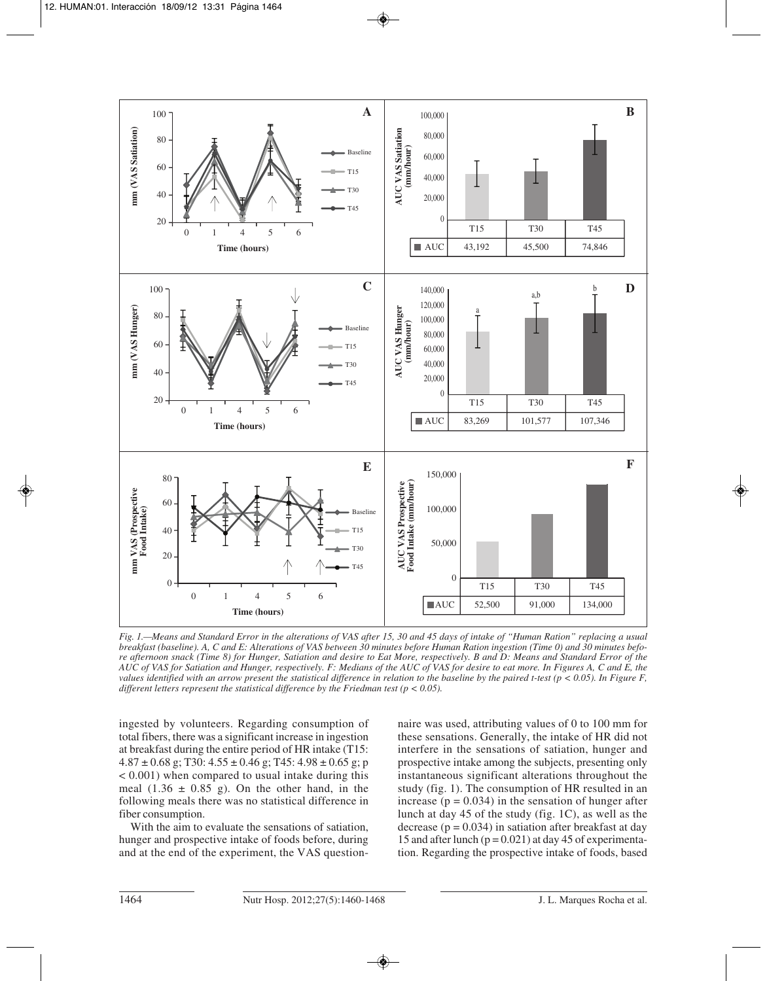

*Fig. 1.—Means and Standard Error in the alterations of VAS after 15, 30 and 45 days of intake of "Human Ration" replacing a usual breakfast (baseline). A, C and E: Alterations of VAS between 30 minutes before Human Ration ingestion (Time 0) and 30 minutes before afternoon snack (Time 8) for Hunger, Satiation and desire to Eat More, respectively. B and D: Means and Standard Error of the AUC of VAS for Satiation and Hunger, respectively. F: Medians of the AUC of VAS for desire to eat more. In Figures A, C and E, the values identified with an arrow present the statistical difference in relation to the baseline by the paired t-test (p < 0.05). In Figure F, different letters represent the statistical difference by the Friedman test (p < 0.05).*

ingested by volunteers. Regarding consumption of total fibers, there was a significant increase in ingestion at breakfast during the entire period of HR intake (T15:  $4.87 \pm 0.68$  g; T30:  $4.55 \pm 0.46$  g; T45:  $4.98 \pm 0.65$  g; p < 0.001) when compared to usual intake during this meal  $(1.36 \pm 0.85 \text{ g})$ . On the other hand, in the following meals there was no statistical difference in fiber consumption.

With the aim to evaluate the sensations of satiation, hunger and prospective intake of foods before, during and at the end of the experiment, the VAS questionnaire was used, attributing values of 0 to 100 mm for these sensations. Generally, the intake of HR did not interfere in the sensations of satiation, hunger and prospective intake among the subjects, presenting only instantaneous significant alterations throughout the study (fig. 1). The consumption of HR resulted in an increase ( $p = 0.034$ ) in the sensation of hunger after lunch at day 45 of the study (fig. 1C), as well as the decrease ( $p = 0.034$ ) in satiation after breakfast at day 15 and after lunch  $(p = 0.021)$  at day 45 of experimentation. Regarding the prospective intake of foods, based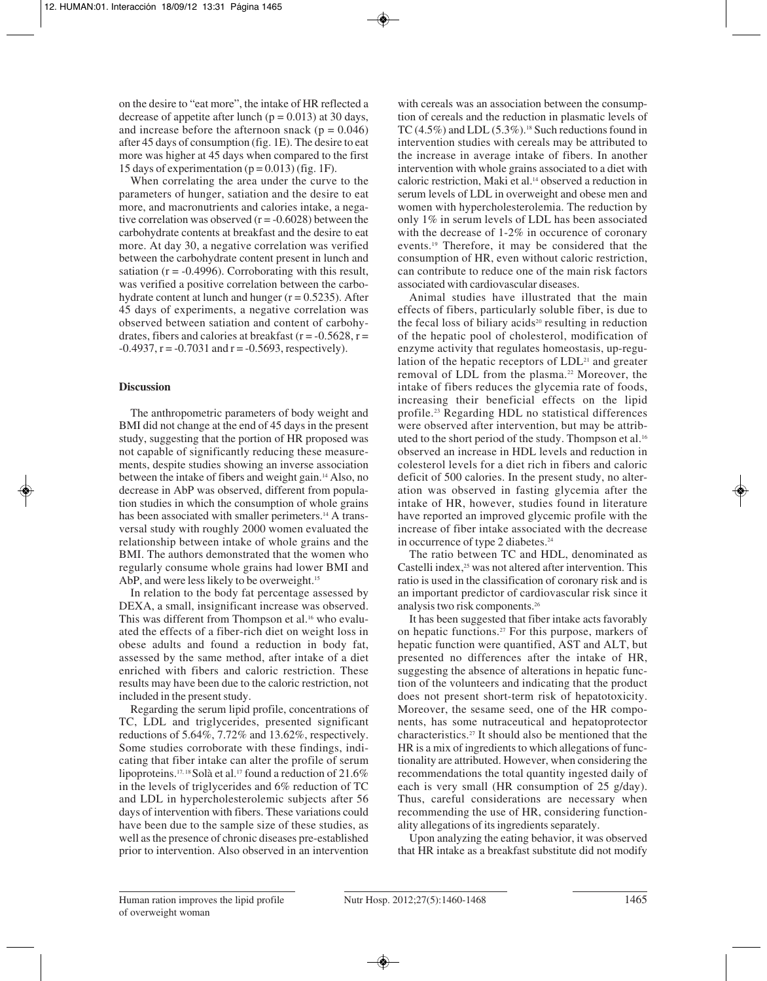on the desire to "eat more", the intake of HR reflected a decrease of appetite after lunch  $(p = 0.013)$  at 30 days, and increase before the afternoon snack ( $p = 0.046$ ) after 45 days of consumption (fig. 1E). The desire to eat more was higher at 45 days when compared to the first 15 days of experimentation ( $p = 0.013$ ) (fig. 1F).

When correlating the area under the curve to the parameters of hunger, satiation and the desire to eat more, and macronutrients and calories intake, a negative correlation was observed  $(r = -0.6028)$  between the carbohydrate contents at breakfast and the desire to eat more. At day 30, a negative correlation was verified between the carbohydrate content present in lunch and satiation ( $r = -0.4996$ ). Corroborating with this result, was verified a positive correlation between the carbohydrate content at lunch and hunger  $(r = 0.5235)$ . After 45 days of experiments, a negative correlation was observed between satiation and content of carbohydrates, fibers and calories at breakfast ( $r = -0.5628$ ,  $r =$  $-0.4937$ ,  $r = -0.7031$  and  $r = -0.5693$ , respectively).

## **Discussion**

The anthropometric parameters of body weight and BMI did not change at the end of 45 days in the present study, suggesting that the portion of HR proposed was not capable of significantly reducing these measurements, despite studies showing an inverse association between the intake of fibers and weight gain.14 Also, no decrease in AbP was observed, different from population studies in which the consumption of whole grains has been associated with smaller perimeters.<sup>14</sup> A transversal study with roughly 2000 women evaluated the relationship between intake of whole grains and the BMI. The authors demonstrated that the women who regularly consume whole grains had lower BMI and AbP, and were less likely to be overweight.<sup>15</sup>

In relation to the body fat percentage assessed by DEXA, a small, insignificant increase was observed. This was different from Thompson et al.<sup>16</sup> who evaluated the effects of a fiber-rich diet on weight loss in obese adults and found a reduction in body fat, assessed by the same method, after intake of a diet enriched with fibers and caloric restriction. These results may have been due to the caloric restriction, not included in the present study.

Regarding the serum lipid profile, concentrations of TC, LDL and triglycerides, presented significant reductions of 5.64%, 7.72% and 13.62%, respectively. Some studies corroborate with these findings, indicating that fiber intake can alter the profile of serum lipoproteins.<sup>17, 18</sup> Solà et al.<sup>17</sup> found a reduction of 21.6% in the levels of triglycerides and 6% reduction of TC and LDL in hypercholesterolemic subjects after 56 days of intervention with fibers. These variations could have been due to the sample size of these studies, as well as the presence of chronic diseases pre-established prior to intervention. Also observed in an intervention

with cereals was an association between the consumption of cereals and the reduction in plasmatic levels of TC  $(4.5\%)$  and LDL  $(5.3\%)$ .<sup>18</sup> Such reductions found in intervention studies with cereals may be attributed to the increase in average intake of fibers. In another intervention with whole grains associated to a diet with caloric restriction, Maki et al.14 observed a reduction in serum levels of LDL in overweight and obese men and women with hypercholesterolemia. The reduction by only 1% in serum levels of LDL has been associated with the decrease of 1-2% in occurence of coronary events.19 Therefore, it may be considered that the consumption of HR, even without caloric restriction, can contribute to reduce one of the main risk factors associated with cardiovascular diseases.

Animal studies have illustrated that the main effects of fibers, particularly soluble fiber, is due to the fecal loss of biliary acids $20$  resulting in reduction of the hepatic pool of cholesterol, modification of enzyme activity that regulates homeostasis, up-regulation of the hepatic receptors of  $LDL<sup>21</sup>$  and greater removal of LDL from the plasma.<sup>22</sup> Moreover, the intake of fibers reduces the glycemia rate of foods, increasing their beneficial effects on the lipid profile.23 Regarding HDL no statistical differences were observed after intervention, but may be attributed to the short period of the study. Thompson et al.16 observed an increase in HDL levels and reduction in colesterol levels for a diet rich in fibers and caloric deficit of 500 calories. In the present study, no alteration was observed in fasting glycemia after the intake of HR, however, studies found in literature have reported an improved glycemic profile with the increase of fiber intake associated with the decrease in occurrence of type 2 diabetes.<sup>24</sup>

The ratio between TC and HDL, denominated as Castelli index,<sup>25</sup> was not altered after intervention. This ratio is used in the classification of coronary risk and is an important predictor of cardiovascular risk since it analysis two risk components.26

It has been suggested that fiber intake acts favorably on hepatic functions.27 For this purpose, markers of hepatic function were quantified, AST and ALT, but presented no differences after the intake of HR, suggesting the absence of alterations in hepatic function of the volunteers and indicating that the product does not present short-term risk of hepatotoxicity. Moreover, the sesame seed, one of the HR components, has some nutraceutical and hepatoprotector characteristics.27 It should also be mentioned that the HR is a mix of ingredients to which allegations of functionality are attributed. However, when considering the recommendations the total quantity ingested daily of each is very small (HR consumption of 25 g/day). Thus, careful considerations are necessary when recommending the use of HR, considering functionality allegations of its ingredients separately.

Upon analyzing the eating behavior, it was observed that HR intake as a breakfast substitute did not modify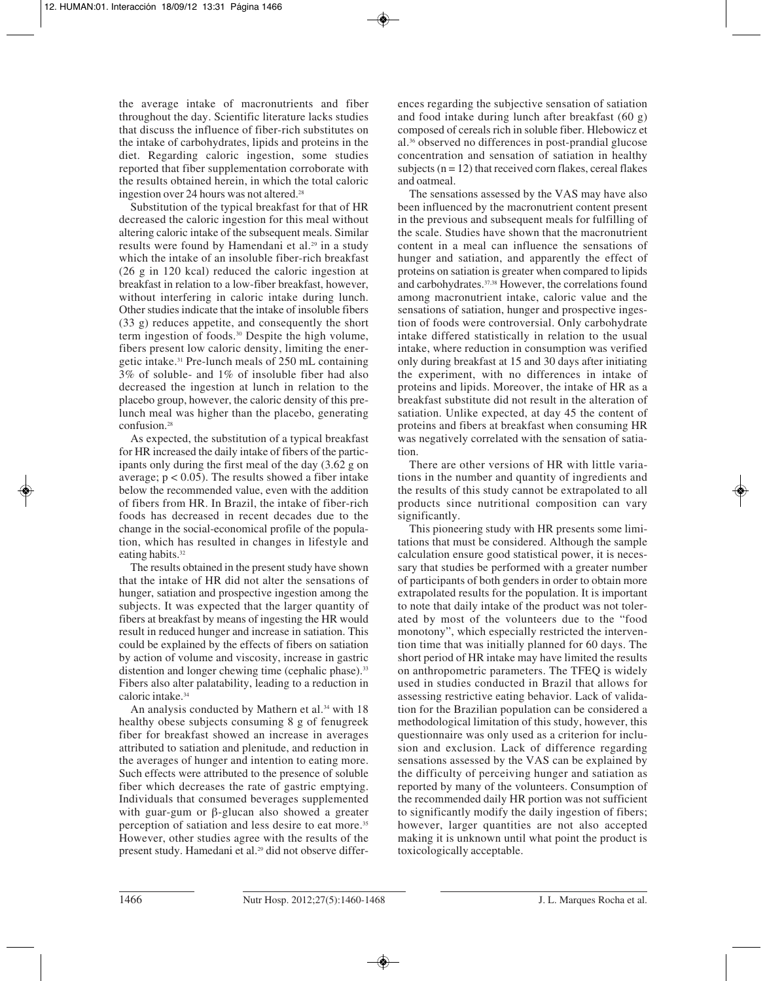the average intake of macronutrients and fiber throughout the day. Scientific literature lacks studies that discuss the influence of fiber-rich substitutes on the intake of carbohydrates, lipids and proteins in the diet. Regarding caloric ingestion, some studies reported that fiber supplementation corroborate with the results obtained herein, in which the total caloric ingestion over 24 hours was not altered.28

Substitution of the typical breakfast for that of HR decreased the caloric ingestion for this meal without altering caloric intake of the subsequent meals. Similar results were found by Hamendani et al.<sup>29</sup> in a study which the intake of an insoluble fiber-rich breakfast (26 g in 120 kcal) reduced the caloric ingestion at breakfast in relation to a low-fiber breakfast, however, without interfering in caloric intake during lunch. Other studies indicate that the intake of insoluble fibers (33 g) reduces appetite, and consequently the short term ingestion of foods.30 Despite the high volume, fibers present low caloric density, limiting the energetic intake.31 Pre-lunch meals of 250 mL containing 3% of soluble- and 1% of insoluble fiber had also decreased the ingestion at lunch in relation to the placebo group, however, the caloric density of this prelunch meal was higher than the placebo, generating confusion.28

As expected, the substitution of a typical breakfast for HR increased the daily intake of fibers of the participants only during the first meal of the day (3.62 g on average;  $p < 0.05$ ). The results showed a fiber intake below the recommended value, even with the addition of fibers from HR. In Brazil, the intake of fiber-rich foods has decreased in recent decades due to the change in the social-economical profile of the population, which has resulted in changes in lifestyle and eating habits.<sup>32</sup>

The results obtained in the present study have shown that the intake of HR did not alter the sensations of hunger, satiation and prospective ingestion among the subjects. It was expected that the larger quantity of fibers at breakfast by means of ingesting the HR would result in reduced hunger and increase in satiation. This could be explained by the effects of fibers on satiation by action of volume and viscosity, increase in gastric distention and longer chewing time (cephalic phase).<sup>33</sup> Fibers also alter palatability, leading to a reduction in caloric intake.34

An analysis conducted by Mathern et al.<sup>34</sup> with 18 healthy obese subjects consuming 8 g of fenugreek fiber for breakfast showed an increase in averages attributed to satiation and plenitude, and reduction in the averages of hunger and intention to eating more. Such effects were attributed to the presence of soluble fiber which decreases the rate of gastric emptying. Individuals that consumed beverages supplemented with guar-gum or β-glucan also showed a greater perception of satiation and less desire to eat more.<sup>35</sup> However, other studies agree with the results of the present study. Hamedani et al.29 did not observe differences regarding the subjective sensation of satiation and food intake during lunch after breakfast (60 g) composed of cereals rich in soluble fiber. Hlebowicz et al.36 observed no differences in post-prandial glucose concentration and sensation of satiation in healthy subjects  $(n = 12)$  that received corn flakes, cereal flakes and oatmeal.

The sensations assessed by the VAS may have also been influenced by the macronutrient content present in the previous and subsequent meals for fulfilling of the scale. Studies have shown that the macronutrient content in a meal can influence the sensations of hunger and satiation, and apparently the effect of proteins on satiation is greater when compared to lipids and carbohydrates.37,38 However, the correlations found among macronutrient intake, caloric value and the sensations of satiation, hunger and prospective ingestion of foods were controversial. Only carbohydrate intake differed statistically in relation to the usual intake, where reduction in consumption was verified only during breakfast at 15 and 30 days after initiating the experiment, with no differences in intake of proteins and lipids. Moreover, the intake of HR as a breakfast substitute did not result in the alteration of satiation. Unlike expected, at day 45 the content of proteins and fibers at breakfast when consuming HR was negatively correlated with the sensation of satiation.

There are other versions of HR with little variations in the number and quantity of ingredients and the results of this study cannot be extrapolated to all products since nutritional composition can vary significantly.

This pioneering study with HR presents some limitations that must be considered. Although the sample calculation ensure good statistical power, it is necessary that studies be performed with a greater number of participants of both genders in order to obtain more extrapolated results for the population. It is important to note that daily intake of the product was not tolerated by most of the volunteers due to the "food monotony", which especially restricted the intervention time that was initially planned for 60 days. The short period of HR intake may have limited the results on anthropometric parameters. The TFEQ is widely used in studies conducted in Brazil that allows for assessing restrictive eating behavior. Lack of validation for the Brazilian population can be considered a methodological limitation of this study, however, this questionnaire was only used as a criterion for inclusion and exclusion. Lack of difference regarding sensations assessed by the VAS can be explained by the difficulty of perceiving hunger and satiation as reported by many of the volunteers. Consumption of the recommended daily HR portion was not sufficient to significantly modify the daily ingestion of fibers; however, larger quantities are not also accepted making it is unknown until what point the product is toxicologically acceptable.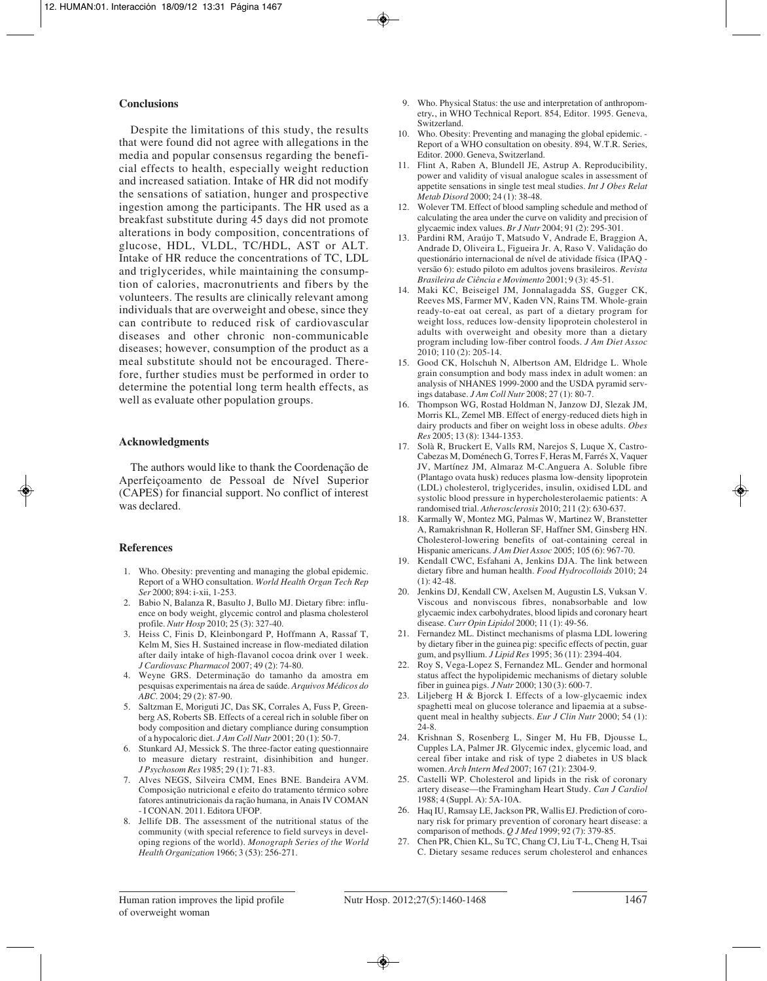## **Conclusions**

Despite the limitations of this study, the results that were found did not agree with allegations in the media and popular consensus regarding the beneficial effects to health, especially weight reduction and increased satiation. Intake of HR did not modify the sensations of satiation, hunger and prospective ingestion among the participants. The HR used as a breakfast substitute during 45 days did not promote alterations in body composition, concentrations of glucose, HDL, VLDL, TC/HDL, AST or ALT. Intake of HR reduce the concentrations of TC, LDL and triglycerides, while maintaining the consumption of calories, macronutrients and fibers by the volunteers. The results are clinically relevant among individuals that are overweight and obese, since they can contribute to reduced risk of cardiovascular diseases and other chronic non-communicable diseases; however, consumption of the product as a meal substitute should not be encouraged. Therefore, further studies must be performed in order to determine the potential long term health effects, as well as evaluate other population groups.

## **Acknowledgments**

The authors would like to thank the Coordenação de Aperfeiçoamento de Pessoal de Nível Superior (CAPES) for financial support. No conflict of interest was declared.

## **References**

- 1. Who. Obesity: preventing and managing the global epidemic. Report of a WHO consultation. *World Health Organ Tech Rep Ser* 2000; 894: i-xii, 1-253.
- 2. Babio N, Balanza R, Basulto J, Bullo MJ. Dietary fibre: influence on body weight, glycemic control and plasma cholesterol profile. *Nutr Hosp* 2010; 25 (3): 327-40.
- 3. Heiss C, Finis D, Kleinbongard P, Hoffmann A, Rassaf T, Kelm M, Sies H. Sustained increase in flow-mediated dilation after daily intake of high-flavanol cocoa drink over 1 week. *J Cardiovasc Pharmacol* 2007; 49 (2): 74-80.
- 4. Weyne GRS. Determinação do tamanho da amostra em pesquisas experimentais na área de saúde. *Arquivos Médicos do ABC.* 2004; 29 (2): 87-90.
- 5. Saltzman E, Moriguti JC, Das SK, Corrales A, Fuss P, Greenberg AS, Roberts SB. Effects of a cereal rich in soluble fiber on body composition and dietary compliance during consumption of a hypocaloric diet. *J Am Coll Nutr* 2001; 20 (1): 50-7.
- 6. Stunkard AJ, Messick S. The three-factor eating questionnaire to measure dietary restraint, disinhibition and hunger. *J Psychosom Res* 1985; 29 (1): 71-83.
- 7. Alves NEGS, Silveira CMM, Enes BNE. Bandeira AVM. Composição nutricional e efeito do tratamento térmico sobre fatores antinutricionais da ração humana, in Anais IV COMAN - I CONAN. 2011. Editora UFOP.
- 8. Jellife DB. The assessment of the nutritional status of the community (with special reference to field surveys in developing regions of the world). *Monograph Series of the World Health Organization* 1966; 3 (53): 256-271.
- 9. Who. Physical Status: the use and interpretation of anthropometry*.*, in WHO Technical Report. 854, Editor. 1995. Geneva, Switzerland.
- 10. Who. Obesity: Preventing and managing the global epidemic. Report of a WHO consultation on obesity. 894, W.T.R. Series, Editor. 2000. Geneva, Switzerland.
- 11. Flint A, Raben A, Blundell JE, Astrup A. Reproducibility, power and validity of visual analogue scales in assessment of appetite sensations in single test meal studies. *Int J Obes Relat Metab Disord* 2000; 24 (1): 38-48.
- 12. Wolever TM. Effect of blood sampling schedule and method of calculating the area under the curve on validity and precision of glycaemic index values. *Br J Nutr* 2004; 91 (2): 295-301.
- 13. Pardini RM, Araújo T, Matsudo V, Andrade E, Braggion A, Andrade D, Oliveira L, Figueira Jr. A, Raso V. Validação do questionário internacional de nível de atividade física (IPAQ versão 6): estudo piloto em adultos jovens brasileiros. *Revista Brasileira de Ciência e Movimento* 2001; 9 (3): 45-51.
- 14. Maki KC, Beiseigel JM, Jonnalagadda SS, Gugger CK, Reeves MS, Farmer MV, Kaden VN, Rains TM. Whole-grain ready-to-eat oat cereal, as part of a dietary program for weight loss, reduces low-density lipoprotein cholesterol in adults with overweight and obesity more than a dietary program including low-fiber control foods. *J Am Diet Assoc* 2010; 110 (2): 205-14.
- 15. Good CK, Holschuh N, Albertson AM, Eldridge L. Whole grain consumption and body mass index in adult women: an analysis of NHANES 1999-2000 and the USDA pyramid servings database. *J Am Coll Nutr* 2008; 27 (1): 80-7.
- 16. Thompson WG, Rostad Holdman N, Janzow DJ, Slezak JM, Morris KL, Zemel MB. Effect of energy-reduced diets high in dairy products and fiber on weight loss in obese adults. *Obes Res* 2005; 13 (8): 1344-1353.
- 17. Solà R, Bruckert E, Valls RM, Narejos S, Luque X, Castro-Cabezas M, Doménech G, Torres F, Heras M, Farrés X, Vaquer JV, Martínez JM, Almaraz M-C.Anguera A. Soluble fibre (Plantago ovata husk) reduces plasma low-density lipoprotein (LDL) cholesterol, triglycerides, insulin, oxidised LDL and systolic blood pressure in hypercholesterolaemic patients: A randomised trial. *Atherosclerosis* 2010; 211 (2): 630-637.
- 18. Karmally W, Montez MG, Palmas W, Martinez W, Branstetter A, Ramakrishnan R, Holleran SF, Haffner SM, Ginsberg HN. Cholesterol-lowering benefits of oat-containing cereal in Hispanic americans. *J Am Diet Assoc* 2005; 105 (6): 967-70.
- 19. Kendall CWC, Esfahani A, Jenkins DJA. The link between dietary fibre and human health. *Food Hydrocolloids* 2010; 24  $(1): 42-48.$
- 20. Jenkins DJ, Kendall CW, Axelsen M, Augustin LS, Vuksan V. Viscous and nonviscous fibres, nonabsorbable and low glycaemic index carbohydrates, blood lipids and coronary heart disease. *Curr Opin Lipidol* 2000; 11 (1): 49-56.
- 21. Fernandez ML. Distinct mechanisms of plasma LDL lowering by dietary fiber in the guinea pig: specific effects of pectin, guar gum, and psyllium. *J Lipid Res* 1995; 36 (11): 2394-404.
- 22. Roy S, Vega-Lopez S, Fernandez ML. Gender and hormonal status affect the hypolipidemic mechanisms of dietary soluble fiber in guinea pigs. *J Nutr* 2000; 130 (3): 600-7.
- 23. Liljeberg H & Bjorck I. Effects of a low-glycaemic index spaghetti meal on glucose tolerance and lipaemia at a subsequent meal in healthy subjects. *Eur J Clin Nutr* 2000; 54 (1): 24-8.
- 24. Krishnan S, Rosenberg L, Singer M, Hu FB, Djousse L, Cupples LA, Palmer JR. Glycemic index, glycemic load, and cereal fiber intake and risk of type 2 diabetes in US black women. *Arch Intern Med* 2007; 167 (21): 2304-9.
- 25. Castelli WP. Cholesterol and lipids in the risk of coronary artery disease—the Framingham Heart Study. *Can J Cardiol* 1988; 4 (Suppl. A): 5A-10A.
- 26. Haq IU, Ramsay LE, Jackson PR, Wallis EJ. Prediction of coronary risk for primary prevention of coronary heart disease: a comparison of methods. *Q J Med* 1999; 92 (7): 379-85.
- 27. Chen PR, Chien KL, Su TC, Chang CJ, Liu T-L, Cheng H, Tsai C. Dietary sesame reduces serum cholesterol and enhances